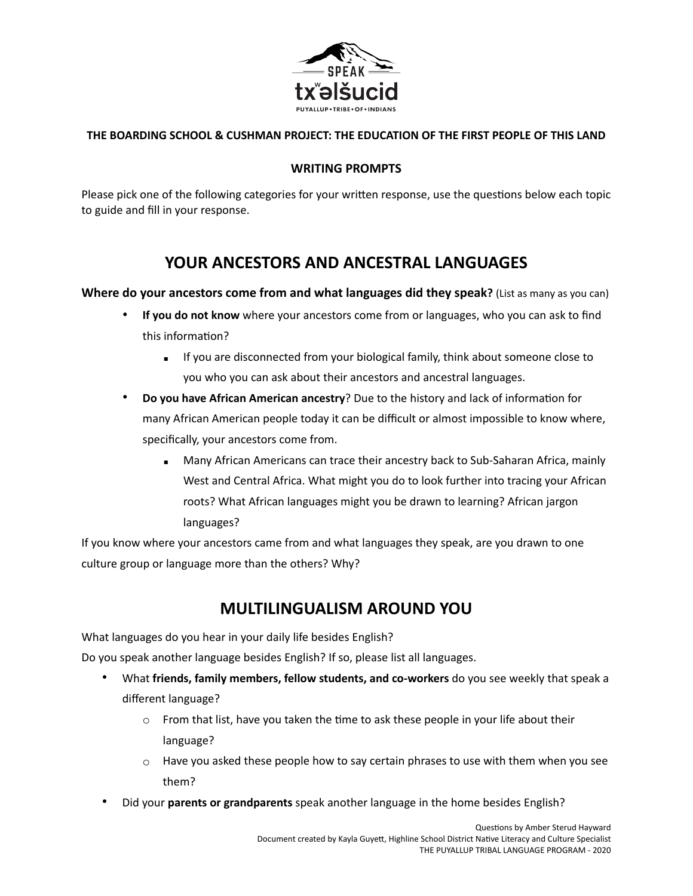

### **THE BOARDING SCHOOL & CUSHMAN PROJECT: THE EDUCATION OF THE FIRST PEOPLE OF THIS LAND**

#### **WRITING PROMPTS**

Please pick one of the following categories for your written response, use the questions below each topic to guide and fill in your response.

# **YOUR ANCESTORS AND ANCESTRAL LANGUAGES**

**Where do your ancestors come from and what languages did they speak?** (List as many as you can)

- **If you do not know** where your ancestors come from or languages, who you can ask to find this information?
	- **EXECT** If you are disconnected from your biological family, think about someone close to you who you can ask about their ancestors and ancestral languages.
- **Do you have African American ancestry**? Due to the history and lack of information for many African American people today it can be difficult or almost impossible to know where, specifically, your ancestors come from.
	- **EXEDMANY African Americans can trace their ancestry back to Sub-Saharan Africa, mainly** West and Central Africa. What might you do to look further into tracing your African roots? What African languages might you be drawn to learning? African jargon languages?

If you know where your ancestors came from and what languages they speak, are you drawn to one culture group or language more than the others? Why?

## **MULTILINGUALISM AROUND YOU**

What languages do you hear in your daily life besides English?

Do you speak another language besides English? If so, please list all languages.

- What **friends, family members, fellow students, and co-workers** do you see weekly that speak a different language?
	- $\circ$  From that list, have you taken the time to ask these people in your life about their language?
	- $\circ$  Have you asked these people how to say certain phrases to use with them when you see them?
- Did your **parents or grandparents** speak another language in the home besides English?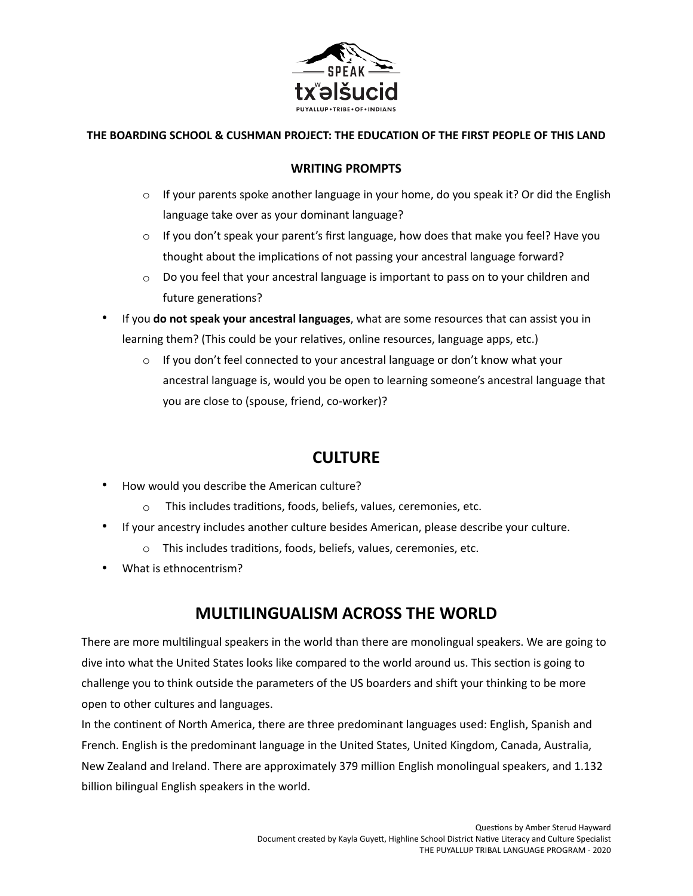

### **THE BOARDING SCHOOL & CUSHMAN PROJECT: THE EDUCATION OF THE FIRST PEOPLE OF THIS LAND**

### **WRITING PROMPTS**

- $\circ$  If your parents spoke another language in your home, do you speak it? Or did the English language take over as your dominant language?
- $\circ$  If you don't speak your parent's first language, how does that make you feel? Have you thought about the implications of not passing your ancestral language forward?
- $\circ$  Do you feel that your ancestral language is important to pass on to your children and future generations?
- If you **do not speak your ancestral languages**, what are some resources that can assist you in learning them? (This could be your relatives, online resources, language apps, etc.)
	- o If you don't feel connected to your ancestral language or don't know what your ancestral language is, would you be open to learning someone's ancestral language that you are close to (spouse, friend, co-worker)?

## **CULTURE**

- How would you describe the American culture?
	- $\circ$  This includes traditions, foods, beliefs, values, ceremonies, etc.
- If your ancestry includes another culture besides American, please describe your culture.
	- $\circ$  This includes traditions, foods, beliefs, values, ceremonies, etc.
- What is ethnocentrism?

# **MULTILINGUALISM ACROSS THE WORLD**

There are more multilingual speakers in the world than there are monolingual speakers. We are going to dive into what the United States looks like compared to the world around us. This section is going to challenge you to think outside the parameters of the US boarders and shift your thinking to be more open to other cultures and languages.

In the continent of North America, there are three predominant languages used: English, Spanish and French. English is the predominant language in the United States, United Kingdom, Canada, Australia, New Zealand and Ireland. There are approximately 379 million English monolingual speakers, and 1.132 billion bilingual English speakers in the world.